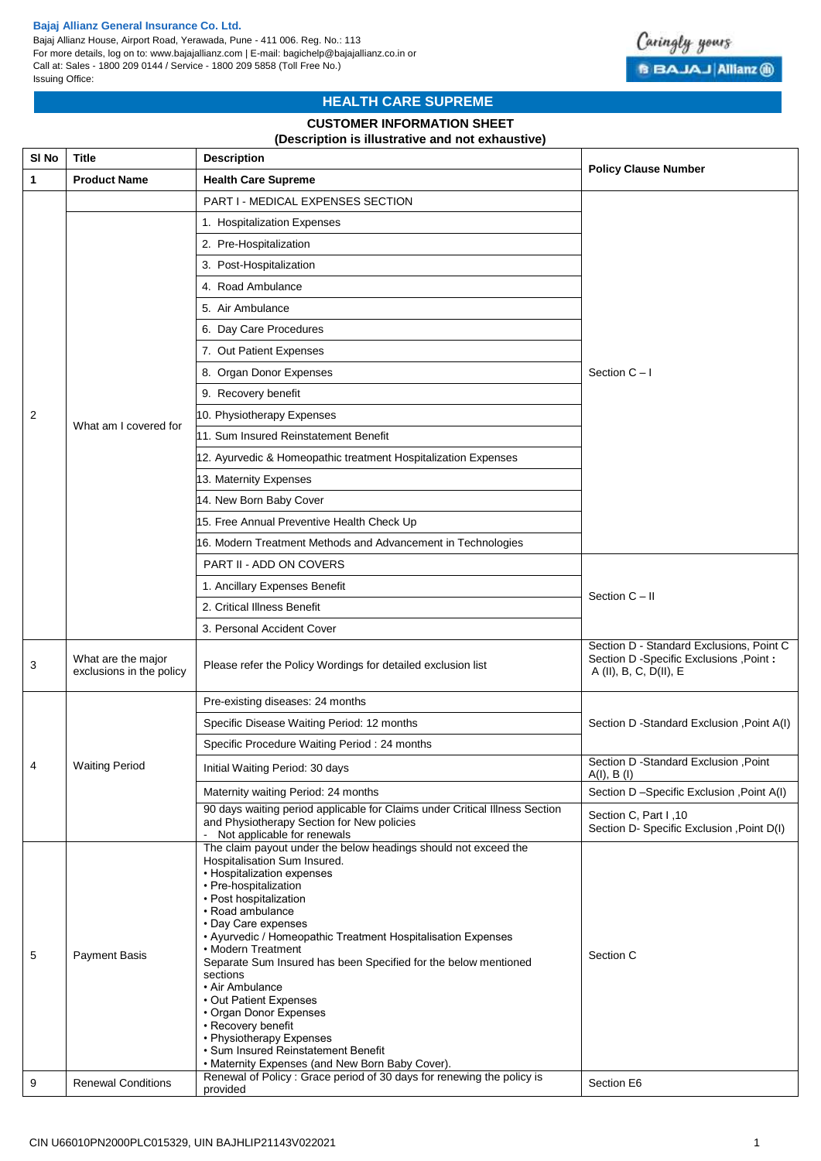### **Bajaj Allianz General Insurance Co. Ltd.**

Bajaj Allianz House, Airport Road, Yerawada, Pune - 411 006. Reg. No.: 113 For more details, log on to: www.bajajallianz.com | E-mail: bagichelp@bajajallianz.co.in or Call at: Sales - 1800 209 0144 / Service - 1800 209 5858 (Toll Free No.) Issuing Office:



# **HEALTH CARE SUPREME**

# **CUSTOMER INFORMATION SHEET**

### **(Description is illustrative and not exhaustive)**

| SI No        | <b>Title</b>                                   | <b>Description</b>                                                                                                                                                                                                                                                                                                                                                                                                                                                                                                                                                                                                  | <b>Policy Clause Number</b>                                                                                     |  |  |  |
|--------------|------------------------------------------------|---------------------------------------------------------------------------------------------------------------------------------------------------------------------------------------------------------------------------------------------------------------------------------------------------------------------------------------------------------------------------------------------------------------------------------------------------------------------------------------------------------------------------------------------------------------------------------------------------------------------|-----------------------------------------------------------------------------------------------------------------|--|--|--|
| $\mathbf{1}$ | <b>Product Name</b>                            | <b>Health Care Supreme</b>                                                                                                                                                                                                                                                                                                                                                                                                                                                                                                                                                                                          |                                                                                                                 |  |  |  |
|              |                                                | PART I - MEDICAL EXPENSES SECTION                                                                                                                                                                                                                                                                                                                                                                                                                                                                                                                                                                                   |                                                                                                                 |  |  |  |
|              |                                                | 1. Hospitalization Expenses                                                                                                                                                                                                                                                                                                                                                                                                                                                                                                                                                                                         |                                                                                                                 |  |  |  |
|              |                                                | 2. Pre-Hospitalization                                                                                                                                                                                                                                                                                                                                                                                                                                                                                                                                                                                              |                                                                                                                 |  |  |  |
|              |                                                | 3. Post-Hospitalization                                                                                                                                                                                                                                                                                                                                                                                                                                                                                                                                                                                             |                                                                                                                 |  |  |  |
|              |                                                | 4. Road Ambulance                                                                                                                                                                                                                                                                                                                                                                                                                                                                                                                                                                                                   | Section $C - I$                                                                                                 |  |  |  |
|              |                                                | 5. Air Ambulance                                                                                                                                                                                                                                                                                                                                                                                                                                                                                                                                                                                                    |                                                                                                                 |  |  |  |
|              |                                                | 6. Day Care Procedures                                                                                                                                                                                                                                                                                                                                                                                                                                                                                                                                                                                              |                                                                                                                 |  |  |  |
|              |                                                | 7. Out Patient Expenses                                                                                                                                                                                                                                                                                                                                                                                                                                                                                                                                                                                             |                                                                                                                 |  |  |  |
|              |                                                | 8. Organ Donor Expenses                                                                                                                                                                                                                                                                                                                                                                                                                                                                                                                                                                                             |                                                                                                                 |  |  |  |
|              |                                                | 9. Recovery benefit                                                                                                                                                                                                                                                                                                                                                                                                                                                                                                                                                                                                 |                                                                                                                 |  |  |  |
| 2            |                                                | 10. Physiotherapy Expenses                                                                                                                                                                                                                                                                                                                                                                                                                                                                                                                                                                                          |                                                                                                                 |  |  |  |
|              | What am I covered for                          | 11. Sum Insured Reinstatement Benefit                                                                                                                                                                                                                                                                                                                                                                                                                                                                                                                                                                               |                                                                                                                 |  |  |  |
|              |                                                | 12. Ayurvedic & Homeopathic treatment Hospitalization Expenses                                                                                                                                                                                                                                                                                                                                                                                                                                                                                                                                                      |                                                                                                                 |  |  |  |
|              |                                                | 13. Maternity Expenses                                                                                                                                                                                                                                                                                                                                                                                                                                                                                                                                                                                              |                                                                                                                 |  |  |  |
|              |                                                | 14. New Born Baby Cover                                                                                                                                                                                                                                                                                                                                                                                                                                                                                                                                                                                             |                                                                                                                 |  |  |  |
|              |                                                | 15. Free Annual Preventive Health Check Up                                                                                                                                                                                                                                                                                                                                                                                                                                                                                                                                                                          |                                                                                                                 |  |  |  |
|              |                                                | 16. Modern Treatment Methods and Advancement in Technologies                                                                                                                                                                                                                                                                                                                                                                                                                                                                                                                                                        |                                                                                                                 |  |  |  |
|              |                                                | <b>PART II - ADD ON COVERS</b>                                                                                                                                                                                                                                                                                                                                                                                                                                                                                                                                                                                      |                                                                                                                 |  |  |  |
|              |                                                | 1. Ancillary Expenses Benefit                                                                                                                                                                                                                                                                                                                                                                                                                                                                                                                                                                                       | Section C - II                                                                                                  |  |  |  |
|              |                                                | 2. Critical Illness Benefit                                                                                                                                                                                                                                                                                                                                                                                                                                                                                                                                                                                         |                                                                                                                 |  |  |  |
|              |                                                | 3. Personal Accident Cover                                                                                                                                                                                                                                                                                                                                                                                                                                                                                                                                                                                          |                                                                                                                 |  |  |  |
| 3            | What are the major<br>exclusions in the policy | Please refer the Policy Wordings for detailed exclusion list                                                                                                                                                                                                                                                                                                                                                                                                                                                                                                                                                        | Section D - Standard Exclusions, Point C<br>Section D - Specific Exclusions , Point :<br>A (II), B, C, D(II), E |  |  |  |
|              | <b>Waiting Period</b>                          | Pre-existing diseases: 24 months                                                                                                                                                                                                                                                                                                                                                                                                                                                                                                                                                                                    |                                                                                                                 |  |  |  |
|              |                                                | Specific Disease Waiting Period: 12 months                                                                                                                                                                                                                                                                                                                                                                                                                                                                                                                                                                          | Section D -Standard Exclusion , Point A(I)                                                                      |  |  |  |
|              |                                                | Specific Procedure Waiting Period: 24 months                                                                                                                                                                                                                                                                                                                                                                                                                                                                                                                                                                        |                                                                                                                 |  |  |  |
| 4            |                                                | Initial Waiting Period: 30 days                                                                                                                                                                                                                                                                                                                                                                                                                                                                                                                                                                                     | Section D -Standard Exclusion , Point<br>A(I), B(I)                                                             |  |  |  |
|              |                                                | Maternity waiting Period: 24 months                                                                                                                                                                                                                                                                                                                                                                                                                                                                                                                                                                                 | Section D-Specific Exclusion , Point A(I)                                                                       |  |  |  |
|              |                                                | 90 days waiting period applicable for Claims under Critical Illness Section<br>and Physiotherapy Section for New policies<br>- Not applicable for renewals                                                                                                                                                                                                                                                                                                                                                                                                                                                          | Section C, Part I, 10<br>Section D- Specific Exclusion , Point D(I)                                             |  |  |  |
| 5            | <b>Payment Basis</b>                           | The claim payout under the below headings should not exceed the<br>Hospitalisation Sum Insured.<br>• Hospitalization expenses<br>• Pre-hospitalization<br>• Post hospitalization<br>• Road ambulance<br>• Day Care expenses<br>• Ayurvedic / Homeopathic Treatment Hospitalisation Expenses<br>• Modern Treatment<br>Separate Sum Insured has been Specified for the below mentioned<br>sections<br>• Air Ambulance<br>• Out Patient Expenses<br>• Organ Donor Expenses<br>• Recovery benefit<br>• Physiotherapy Expenses<br>· Sum Insured Reinstatement Benefit<br>• Maternity Expenses (and New Born Baby Cover). | Section C                                                                                                       |  |  |  |
| 9            | <b>Renewal Conditions</b>                      | Renewal of Policy: Grace period of 30 days for renewing the policy is<br>provided                                                                                                                                                                                                                                                                                                                                                                                                                                                                                                                                   | Section E6                                                                                                      |  |  |  |
|              |                                                |                                                                                                                                                                                                                                                                                                                                                                                                                                                                                                                                                                                                                     |                                                                                                                 |  |  |  |